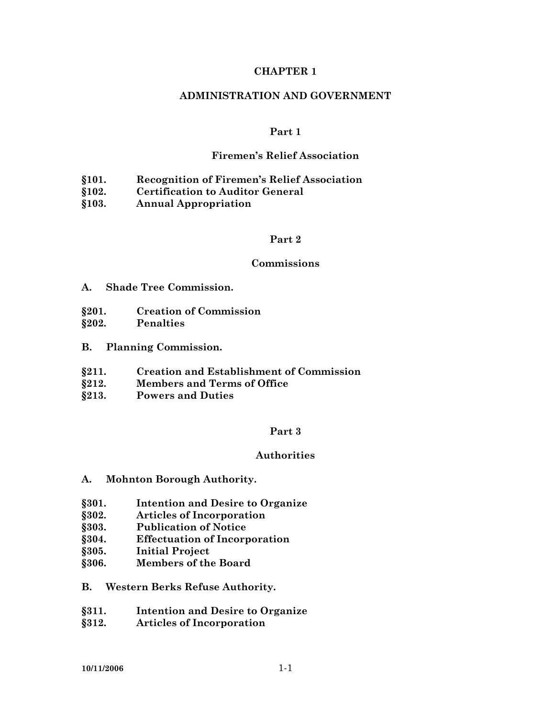#### **CHAPTER 1**

#### **ADMINISTRATION AND GOVERNMENT**

#### **Part 1**

#### **Firemen's Relief Association**

- **§101. Recognition of Firemen's Relief Association**
- **§102. Certification to Auditor General**
- **§103. Annual Appropriation**

## **Part 2**

#### **Commissions**

- **A. Shade Tree Commission.**
- **§201. Creation of Commission**
- **§202. Penalties**
- **B. Planning Commission.**
- **§211. Creation and Establishment of Commission**
- **§212. Members and Terms of Office**
- **§213. Powers and Duties**

#### **Part 3**

#### **Authorities**

- **A. Mohnton Borough Authority.**
- **§301. Intention and Desire to Organize**
- **§302. Articles of Incorporation**
- **§303. Publication of Notice**
- **§304. Effectuation of Incorporation**
- **§305. Initial Project**
- **§306. Members of the Board**
- **B. Western Berks Refuse Authority.**
- **§311. Intention and Desire to Organize**
- **§312. Articles of Incorporation**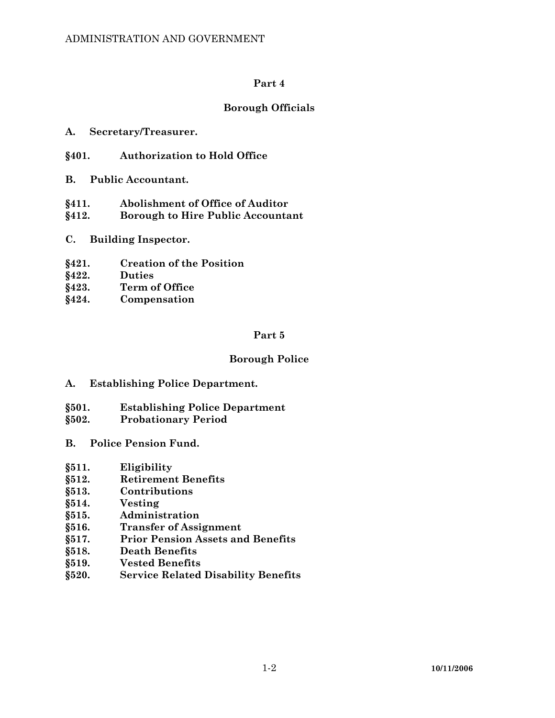## **Borough Officials**

- **A. Secretary/Treasurer.**
- **§401. Authorization to Hold Office**
- **B. Public Accountant.**
- **§411. Abolishment of Office of Auditor**
- **§412. Borough to Hire Public Accountant**
- **C. Building Inspector.**
- **§421. Creation of the Position**
- **§422. Duties**
- **§423. Term of Office**
- **§424. Compensation**

### **Part 5**

### **Borough Police**

- **A. Establishing Police Department.**
- **§501. Establishing Police Department**
- **§502. Probationary Period**
- **B. Police Pension Fund.**
- **§511. Eligibility**
- **§512. Retirement Benefits**
- **§513. Contributions**
- **§514. Vesting**
- **§515. Administration**
- **§516. Transfer of Assignment**
- **§517. Prior Pension Assets and Benefits**
- **§518. Death Benefits**
- **§519. Vested Benefits**
- **§520. Service Related Disability Benefits**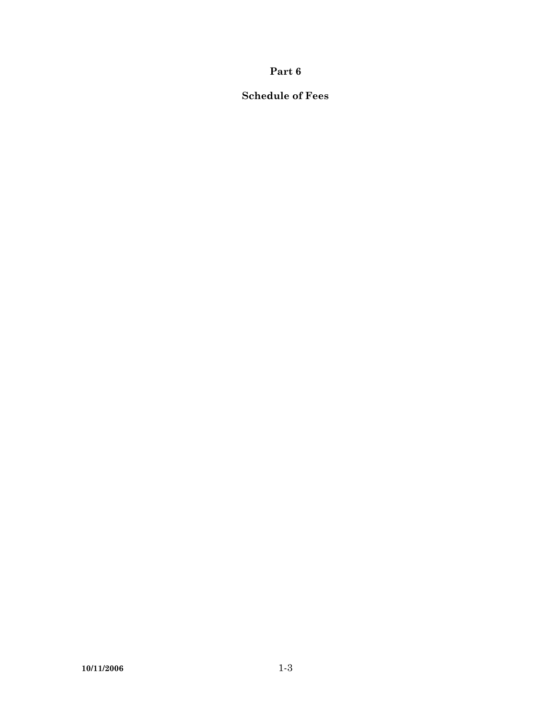# **Schedule of Fees**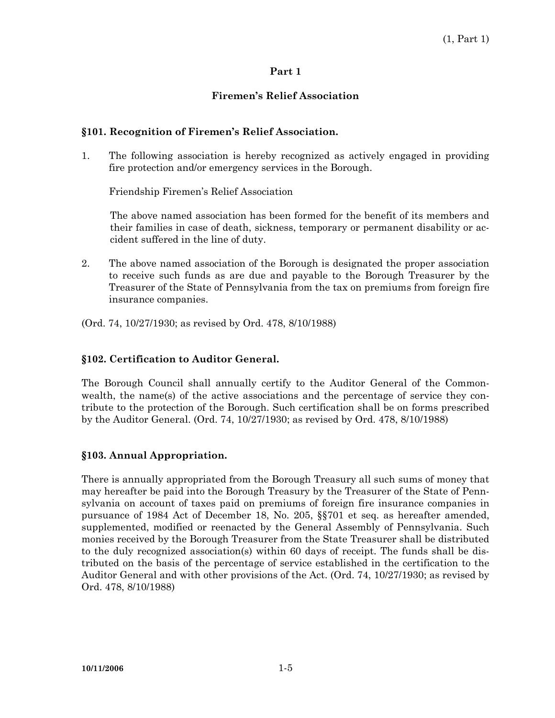## **Firemen's Relief Association**

## **§101. Recognition of Firemen's Relief Association.**

1. The following association is hereby recognized as actively engaged in providing fire protection and/or emergency services in the Borough.

Friendship Firemen's Relief Association

The above named association has been formed for the benefit of its members and their families in case of death, sickness, temporary or permanent disability or accident suffered in the line of duty.

2. The above named association of the Borough is designated the proper association to receive such funds as are due and payable to the Borough Treasurer by the Treasurer of the State of Pennsylvania from the tax on premiums from foreign fire insurance companies.

(Ord. 74, 10/27/1930; as revised by Ord. 478, 8/10/1988)

## **§102. Certification to Auditor General.**

The Borough Council shall annually certify to the Auditor General of the Commonwealth, the name(s) of the active associations and the percentage of service they contribute to the protection of the Borough. Such certification shall be on forms prescribed by the Auditor General. (Ord. 74, 10/27/1930; as revised by Ord. 478, 8/10/1988)

### **§103. Annual Appropriation.**

There is annually appropriated from the Borough Treasury all such sums of money that may hereafter be paid into the Borough Treasury by the Treasurer of the State of Pennsylvania on account of taxes paid on premiums of foreign fire insurance companies in pursuance of 1984 Act of December 18, No. 205, §§701 et seq. as hereafter amended, supplemented, modified or reenacted by the General Assembly of Pennsylvania. Such monies received by the Borough Treasurer from the State Treasurer shall be distributed to the duly recognized association(s) within 60 days of receipt. The funds shall be distributed on the basis of the percentage of service established in the certification to the Auditor General and with other provisions of the Act. (Ord. 74, 10/27/1930; as revised by Ord. 478, 8/10/1988)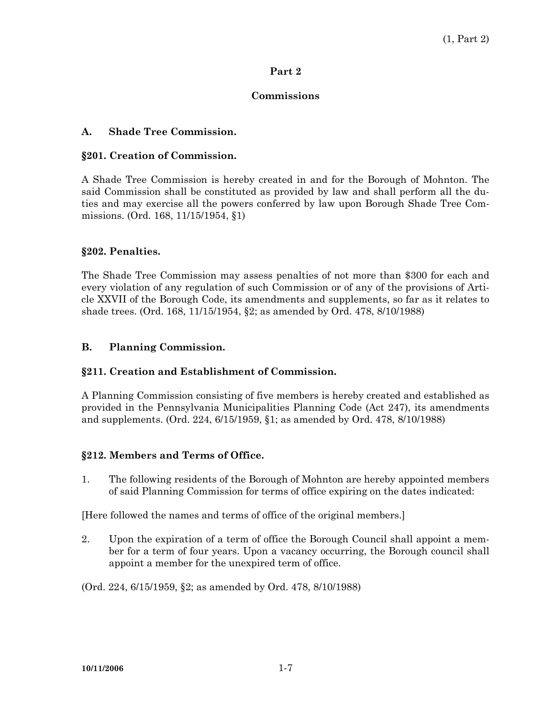## **Commissions**

## **A. Shade Tree Commission.**

#### **§201. Creation of Commission.**

A Shade Tree Commission is hereby created in and for the Borough of Mohnton. The said Commission shall be constituted as provided by law and shall perform all the duties and may exercise all the powers conferred by law upon Borough Shade Tree Commissions. (Ord. 168, 11/15/1954, §1)

### **§202. Penalties.**

The Shade Tree Commission may assess penalties of not more than \$300 for each and every violation of any regulation of such Commission or of any of the provisions of Article XXVII of the Borough Code, its amendments and supplements, so far as it relates to shade trees. (Ord. 168, 11/15/1954, §2; as amended by Ord. 478, 8/10/1988)

### **B. Planning Commission.**

### **§211. Creation and Establishment of Commission.**

A Planning Commission consisting of five members is hereby created and established as provided in the Pennsylvania Municipalities Planning Code (Act 247), its amendments and supplements. (Ord. 224, 6/15/1959, §1; as amended by Ord. 478, 8/10/1988)

### **§212. Members and Terms of Office.**

1. The following residents of the Borough of Mohnton are hereby appointed members of said Planning Commission for terms of office expiring on the dates indicated:

[Here followed the names and terms of office of the original members.]

2. Upon the expiration of a term of office the Borough Council shall appoint a member for a term of four years. Upon a vacancy occurring, the Borough council shall appoint a member for the unexpired term of office.

(Ord. 224, 6/15/1959, §2; as amended by Ord. 478, 8/10/1988)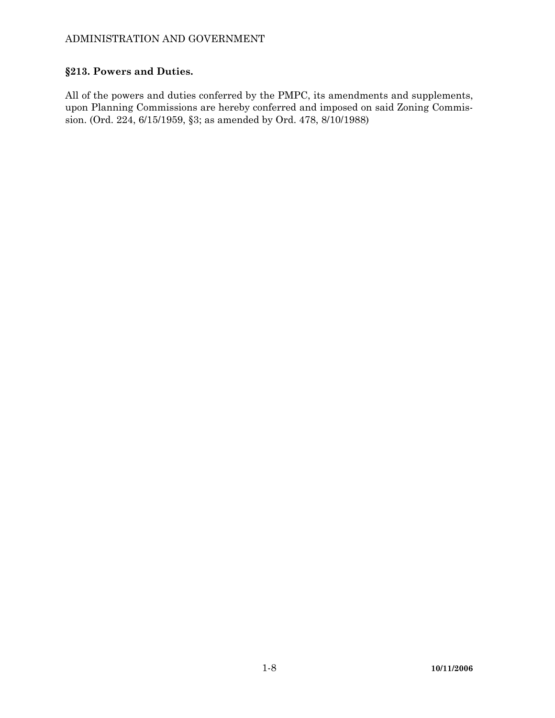# **§213. Powers and Duties.**

All of the powers and duties conferred by the PMPC, its amendments and supplements, upon Planning Commissions are hereby conferred and imposed on said Zoning Commission. (Ord. 224, 6/15/1959, §3; as amended by Ord. 478, 8/10/1988)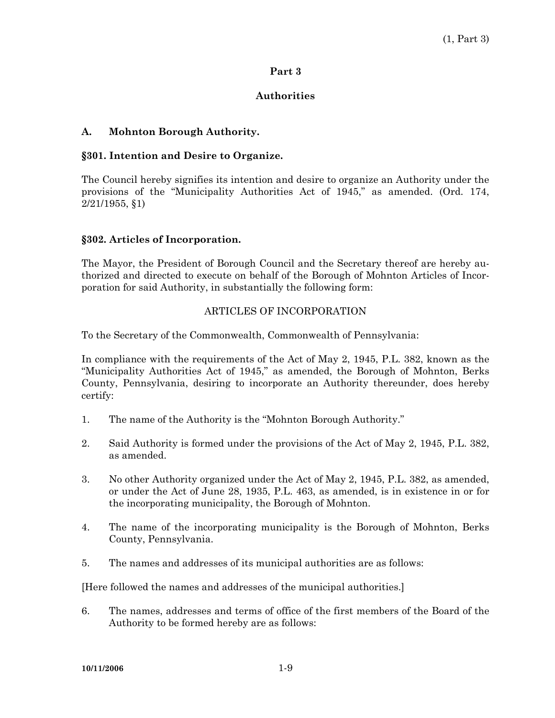## **Authorities**

## **A. Mohnton Borough Authority.**

## **§301. Intention and Desire to Organize.**

The Council hereby signifies its intention and desire to organize an Authority under the provisions of the "Municipality Authorities Act of 1945," as amended. (Ord. 174, 2/21/1955, §1)

### **§302. Articles of Incorporation.**

The Mayor, the President of Borough Council and the Secretary thereof are hereby authorized and directed to execute on behalf of the Borough of Mohnton Articles of Incorporation for said Authority, in substantially the following form:

## ARTICLES OF INCORPORATION

To the Secretary of the Commonwealth, Commonwealth of Pennsylvania:

In compliance with the requirements of the Act of May 2, 1945, P.L. 382, known as the "Municipality Authorities Act of 1945," as amended, the Borough of Mohnton, Berks County, Pennsylvania, desiring to incorporate an Authority thereunder, does hereby certify:

- 1. The name of the Authority is the "Mohnton Borough Authority."
- 2. Said Authority is formed under the provisions of the Act of May 2, 1945, P.L. 382, as amended.
- 3. No other Authority organized under the Act of May 2, 1945, P.L. 382, as amended, or under the Act of June 28, 1935, P.L. 463, as amended, is in existence in or for the incorporating municipality, the Borough of Mohnton.
- 4. The name of the incorporating municipality is the Borough of Mohnton, Berks County, Pennsylvania.
- 5. The names and addresses of its municipal authorities are as follows:

[Here followed the names and addresses of the municipal authorities.]

6. The names, addresses and terms of office of the first members of the Board of the Authority to be formed hereby are as follows: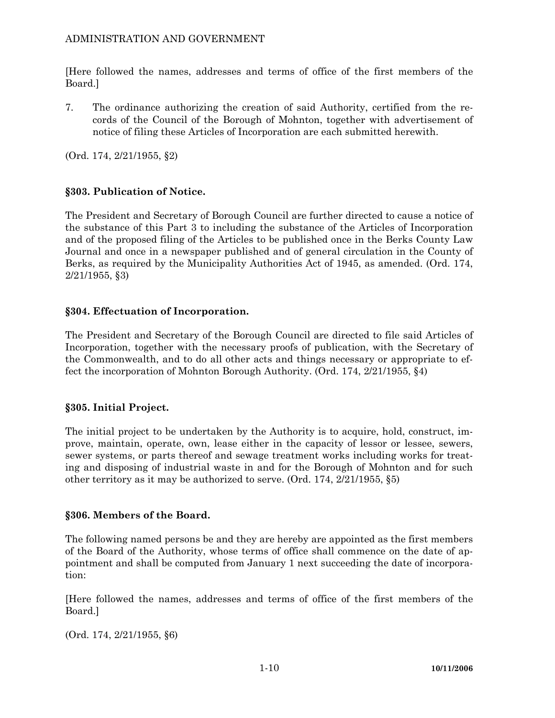[Here followed the names, addresses and terms of office of the first members of the Board.]

7. The ordinance authorizing the creation of said Authority, certified from the records of the Council of the Borough of Mohnton, together with advertisement of notice of filing these Articles of Incorporation are each submitted herewith.

(Ord. 174, 2/21/1955, §2)

# **§303. Publication of Notice.**

The President and Secretary of Borough Council are further directed to cause a notice of the substance of this Part 3 to including the substance of the Articles of Incorporation and of the proposed filing of the Articles to be published once in the Berks County Law Journal and once in a newspaper published and of general circulation in the County of Berks, as required by the Municipality Authorities Act of 1945, as amended. (Ord. 174, 2/21/1955, §3)

# **§304. Effectuation of Incorporation.**

The President and Secretary of the Borough Council are directed to file said Articles of Incorporation, together with the necessary proofs of publication, with the Secretary of the Commonwealth, and to do all other acts and things necessary or appropriate to effect the incorporation of Mohnton Borough Authority. (Ord. 174, 2/21/1955, §4)

## **§305. Initial Project.**

The initial project to be undertaken by the Authority is to acquire, hold, construct, improve, maintain, operate, own, lease either in the capacity of lessor or lessee, sewers, sewer systems, or parts thereof and sewage treatment works including works for treating and disposing of industrial waste in and for the Borough of Mohnton and for such other territory as it may be authorized to serve. (Ord. 174, 2/21/1955, §5)

## **§306. Members of the Board.**

The following named persons be and they are hereby are appointed as the first members of the Board of the Authority, whose terms of office shall commence on the date of appointment and shall be computed from January 1 next succeeding the date of incorporation:

[Here followed the names, addresses and terms of office of the first members of the Board.]

(Ord. 174, 2/21/1955, §6)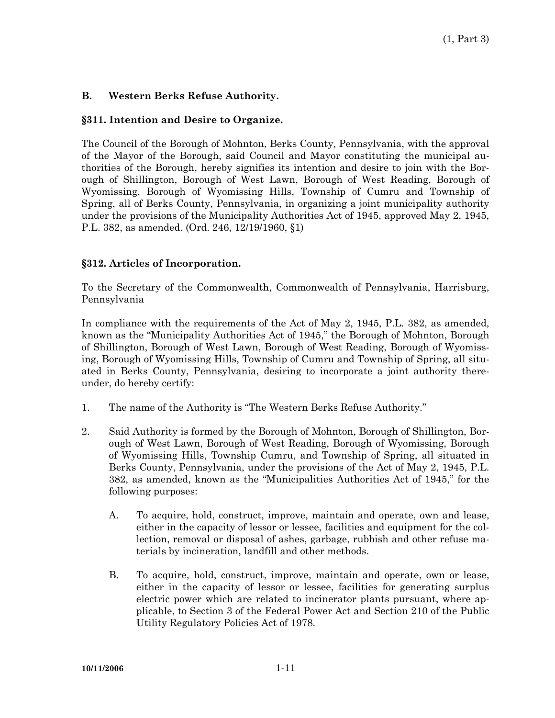## **B. Western Berks Refuse Authority.**

## **§311. Intention and Desire to Organize.**

The Council of the Borough of Mohnton, Berks County, Pennsylvania, with the approval of the Mayor of the Borough, said Council and Mayor constituting the municipal authorities of the Borough, hereby signifies its intention and desire to join with the Borough of Shillington, Borough of West Lawn, Borough of West Reading, Borough of Wyomissing, Borough of Wyomissing Hills, Township of Cumru and Township of Spring, all of Berks County, Pennsylvania, in organizing a joint municipality authority under the provisions of the Municipality Authorities Act of 1945, approved May 2, 1945, P.L. 382, as amended. (Ord. 246, 12/19/1960, §1)

## **§312. Articles of Incorporation.**

To the Secretary of the Commonwealth, Commonwealth of Pennsylvania, Harrisburg, Pennsylvania

In compliance with the requirements of the Act of May 2, 1945, P.L. 382, as amended, known as the "Municipality Authorities Act of 1945," the Borough of Mohnton, Borough of Shillington, Borough of West Lawn, Borough of West Reading, Borough of Wyomissing, Borough of Wyomissing Hills, Township of Cumru and Township of Spring, all situated in Berks County, Pennsylvania, desiring to incorporate a joint authority thereunder, do hereby certify:

- 1. The name of the Authority is "The Western Berks Refuse Authority."
- 2. Said Authority is formed by the Borough of Mohnton, Borough of Shillington, Borough of West Lawn, Borough of West Reading, Borough of Wyomissing, Borough of Wyomissing Hills, Township Cumru, and Township of Spring, all situated in Berks County, Pennsylvania, under the provisions of the Act of May 2, 1945, P.L. 382, as amended, known as the "Municipalities Authorities Act of 1945," for the following purposes:
	- A. To acquire, hold, construct, improve, maintain and operate, own and lease, either in the capacity of lessor or lessee, facilities and equipment for the collection, removal or disposal of ashes, garbage, rubbish and other refuse materials by incineration, landfill and other methods.
	- B. To acquire, hold, construct, improve, maintain and operate, own or lease, either in the capacity of lessor or lessee, facilities for generating surplus electric power which are related to incinerator plants pursuant, where applicable, to Section 3 of the Federal Power Act and Section 210 of the Public Utility Regulatory Policies Act of 1978.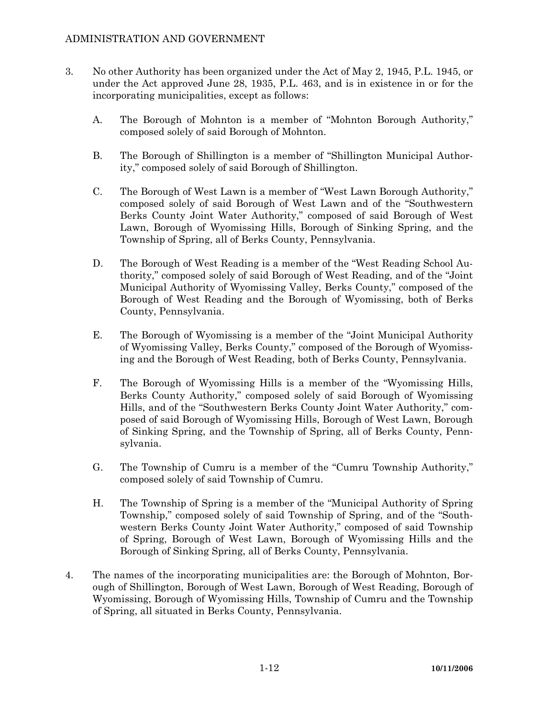- 3. No other Authority has been organized under the Act of May 2, 1945, P.L. 1945, or under the Act approved June 28, 1935, P.L. 463, and is in existence in or for the incorporating municipalities, except as follows:
	- A. The Borough of Mohnton is a member of "Mohnton Borough Authority," composed solely of said Borough of Mohnton.
	- B. The Borough of Shillington is a member of "Shillington Municipal Authority," composed solely of said Borough of Shillington.
	- C. The Borough of West Lawn is a member of "West Lawn Borough Authority," composed solely of said Borough of West Lawn and of the "Southwestern Berks County Joint Water Authority," composed of said Borough of West Lawn, Borough of Wyomissing Hills, Borough of Sinking Spring, and the Township of Spring, all of Berks County, Pennsylvania.
	- D. The Borough of West Reading is a member of the "West Reading School Authority," composed solely of said Borough of West Reading, and of the "Joint Municipal Authority of Wyomissing Valley, Berks County," composed of the Borough of West Reading and the Borough of Wyomissing, both of Berks County, Pennsylvania.
	- E. The Borough of Wyomissing is a member of the "Joint Municipal Authority of Wyomissing Valley, Berks County," composed of the Borough of Wyomissing and the Borough of West Reading, both of Berks County, Pennsylvania.
	- F. The Borough of Wyomissing Hills is a member of the "Wyomissing Hills, Berks County Authority," composed solely of said Borough of Wyomissing Hills, and of the "Southwestern Berks County Joint Water Authority," composed of said Borough of Wyomissing Hills, Borough of West Lawn, Borough of Sinking Spring, and the Township of Spring, all of Berks County, Pennsylvania.
	- G. The Township of Cumru is a member of the "Cumru Township Authority," composed solely of said Township of Cumru.
	- H. The Township of Spring is a member of the "Municipal Authority of Spring Township," composed solely of said Township of Spring, and of the "Southwestern Berks County Joint Water Authority," composed of said Township of Spring, Borough of West Lawn, Borough of Wyomissing Hills and the Borough of Sinking Spring, all of Berks County, Pennsylvania.
- 4. The names of the incorporating municipalities are: the Borough of Mohnton, Borough of Shillington, Borough of West Lawn, Borough of West Reading, Borough of Wyomissing, Borough of Wyomissing Hills, Township of Cumru and the Township of Spring, all situated in Berks County, Pennsylvania.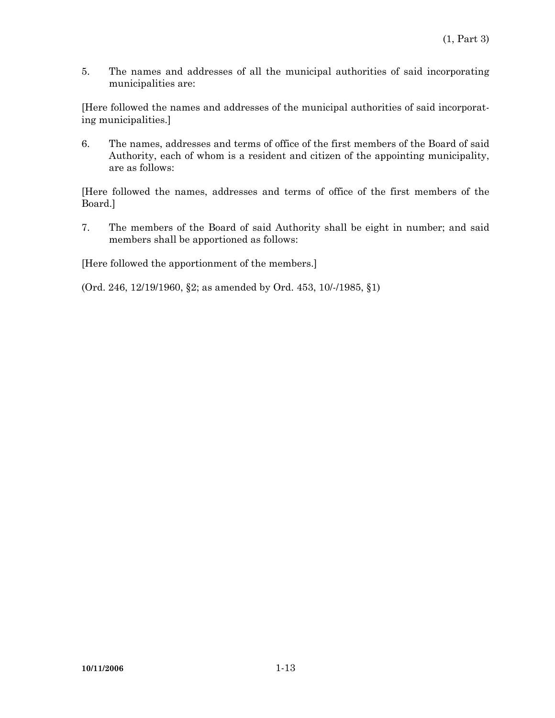5. The names and addresses of all the municipal authorities of said incorporating municipalities are:

[Here followed the names and addresses of the municipal authorities of said incorporating municipalities.]

6. The names, addresses and terms of office of the first members of the Board of said Authority, each of whom is a resident and citizen of the appointing municipality, are as follows:

[Here followed the names, addresses and terms of office of the first members of the Board.]

7. The members of the Board of said Authority shall be eight in number; and said members shall be apportioned as follows:

[Here followed the apportionment of the members.]

(Ord. 246, 12/19/1960, §2; as amended by Ord. 453, 10/-/1985, §1)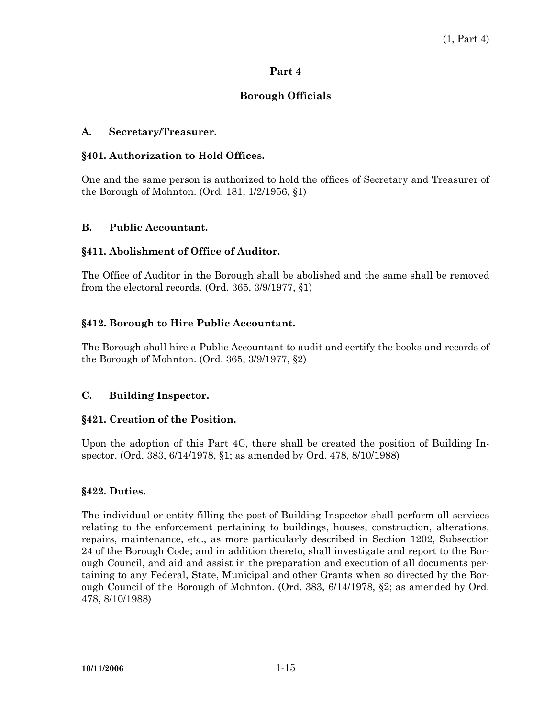## **Borough Officials**

# **A. Secretary/Treasurer.**

## **§401. Authorization to Hold Offices.**

One and the same person is authorized to hold the offices of Secretary and Treasurer of the Borough of Mohnton. (Ord. 181, 1/2/1956, §1)

## **B. Public Accountant.**

## **§411. Abolishment of Office of Auditor.**

The Office of Auditor in the Borough shall be abolished and the same shall be removed from the electoral records. (Ord. 365, 3/9/1977, §1)

## **§412. Borough to Hire Public Accountant.**

The Borough shall hire a Public Accountant to audit and certify the books and records of the Borough of Mohnton. (Ord. 365, 3/9/1977, §2)

## **C. Building Inspector.**

### **§421. Creation of the Position.**

Upon the adoption of this Part 4C, there shall be created the position of Building Inspector. (Ord. 383, 6/14/1978, §1; as amended by Ord. 478, 8/10/1988)

### **§422. Duties.**

The individual or entity filling the post of Building Inspector shall perform all services relating to the enforcement pertaining to buildings, houses, construction, alterations, repairs, maintenance, etc., as more particularly described in Section 1202, Subsection 24 of the Borough Code; and in addition thereto, shall investigate and report to the Borough Council, and aid and assist in the preparation and execution of all documents pertaining to any Federal, State, Municipal and other Grants when so directed by the Borough Council of the Borough of Mohnton. (Ord. 383, 6/14/1978, §2; as amended by Ord. 478, 8/10/1988)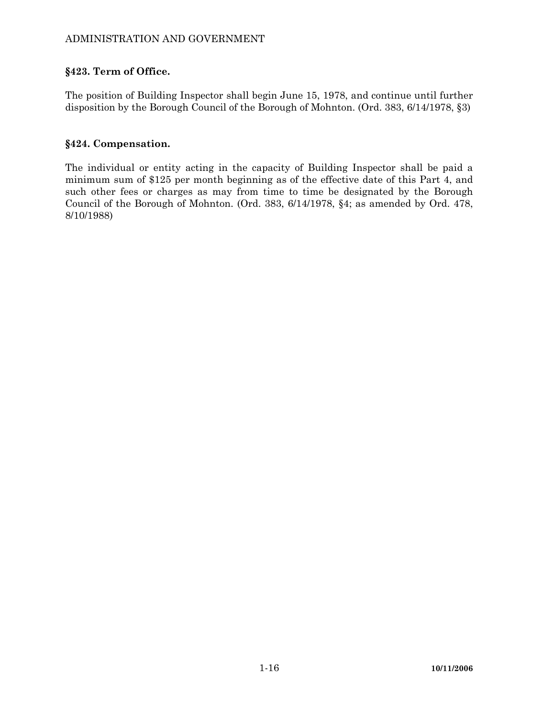## **§423. Term of Office.**

The position of Building Inspector shall begin June 15, 1978, and continue until further disposition by the Borough Council of the Borough of Mohnton. (Ord. 383, 6/14/1978, §3)

## **§424. Compensation.**

The individual or entity acting in the capacity of Building Inspector shall be paid a minimum sum of \$125 per month beginning as of the effective date of this Part 4, and such other fees or charges as may from time to time be designated by the Borough Council of the Borough of Mohnton. (Ord. 383, 6/14/1978, §4; as amended by Ord. 478, 8/10/1988)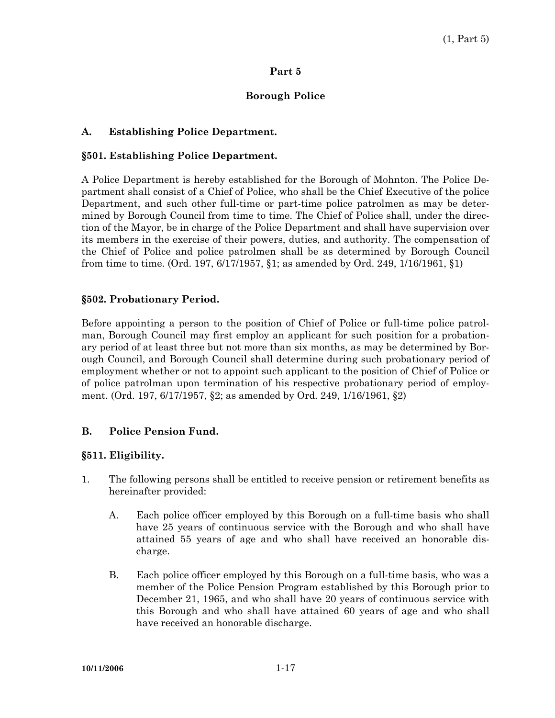### **Borough Police**

### **A. Establishing Police Department.**

#### **§501. Establishing Police Department.**

A Police Department is hereby established for the Borough of Mohnton. The Police Department shall consist of a Chief of Police, who shall be the Chief Executive of the police Department, and such other full-time or part-time police patrolmen as may be determined by Borough Council from time to time. The Chief of Police shall, under the direction of the Mayor, be in charge of the Police Department and shall have supervision over its members in the exercise of their powers, duties, and authority. The compensation of the Chief of Police and police patrolmen shall be as determined by Borough Council from time to time. (Ord. 197, 6/17/1957, §1; as amended by Ord. 249, 1/16/1961, §1)

#### **§502. Probationary Period.**

Before appointing a person to the position of Chief of Police or full-time police patrolman, Borough Council may first employ an applicant for such position for a probationary period of at least three but not more than six months, as may be determined by Borough Council, and Borough Council shall determine during such probationary period of employment whether or not to appoint such applicant to the position of Chief of Police or of police patrolman upon termination of his respective probationary period of employment. (Ord. 197, 6/17/1957, §2; as amended by Ord. 249, 1/16/1961, §2)

#### **B. Police Pension Fund.**

### **§511. Eligibility.**

- 1. The following persons shall be entitled to receive pension or retirement benefits as hereinafter provided:
	- A. Each police officer employed by this Borough on a full-time basis who shall have 25 years of continuous service with the Borough and who shall have attained 55 years of age and who shall have received an honorable discharge.
	- B. Each police officer employed by this Borough on a full-time basis, who was a member of the Police Pension Program established by this Borough prior to December 21, 1965, and who shall have 20 years of continuous service with this Borough and who shall have attained 60 years of age and who shall have received an honorable discharge.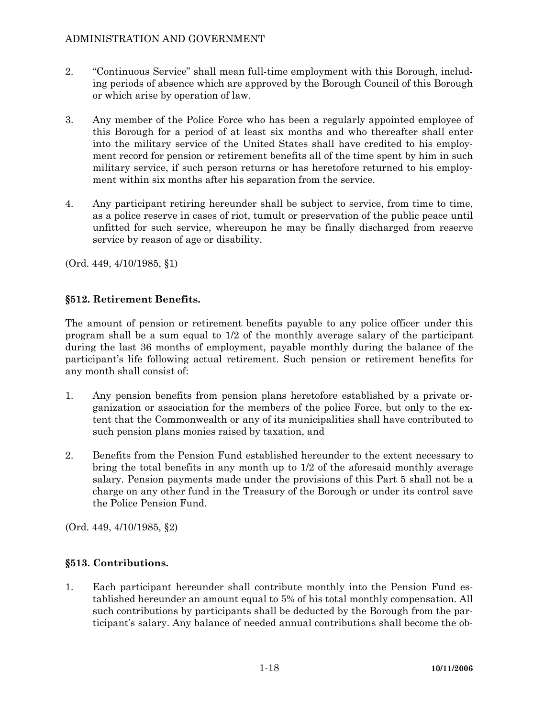- 2. "Continuous Service" shall mean full-time employment with this Borough, including periods of absence which are approved by the Borough Council of this Borough or which arise by operation of law.
- 3. Any member of the Police Force who has been a regularly appointed employee of this Borough for a period of at least six months and who thereafter shall enter into the military service of the United States shall have credited to his employment record for pension or retirement benefits all of the time spent by him in such military service, if such person returns or has heretofore returned to his employment within six months after his separation from the service.
- 4. Any participant retiring hereunder shall be subject to service, from time to time, as a police reserve in cases of riot, tumult or preservation of the public peace until unfitted for such service, whereupon he may be finally discharged from reserve service by reason of age or disability.

(Ord. 449, 4/10/1985, §1)

## **§512. Retirement Benefits.**

The amount of pension or retirement benefits payable to any police officer under this program shall be a sum equal to 1/2 of the monthly average salary of the participant during the last 36 months of employment, payable monthly during the balance of the participant's life following actual retirement. Such pension or retirement benefits for any month shall consist of:

- 1. Any pension benefits from pension plans heretofore established by a private organization or association for the members of the police Force, but only to the extent that the Commonwealth or any of its municipalities shall have contributed to such pension plans monies raised by taxation, and
- 2. Benefits from the Pension Fund established hereunder to the extent necessary to bring the total benefits in any month up to 1/2 of the aforesaid monthly average salary. Pension payments made under the provisions of this Part 5 shall not be a charge on any other fund in the Treasury of the Borough or under its control save the Police Pension Fund.

(Ord. 449, 4/10/1985, §2)

### **§513. Contributions.**

1. Each participant hereunder shall contribute monthly into the Pension Fund established hereunder an amount equal to 5% of his total monthly compensation. All such contributions by participants shall be deducted by the Borough from the participant's salary. Any balance of needed annual contributions shall become the ob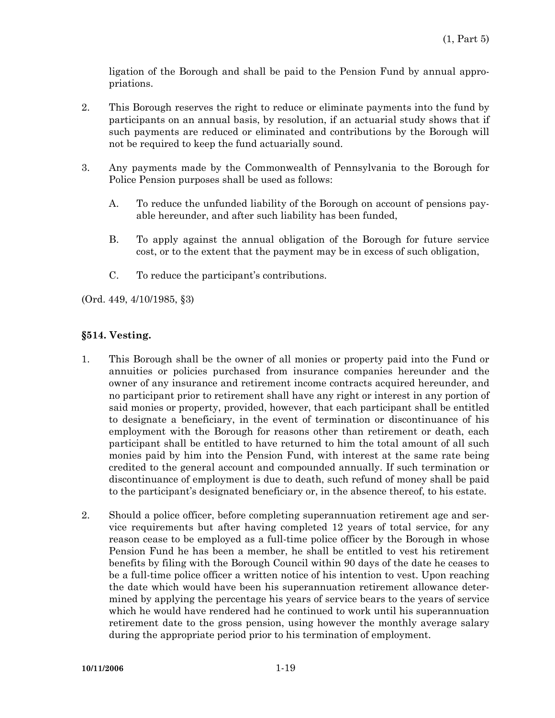ligation of the Borough and shall be paid to the Pension Fund by annual appropriations.

- 2. This Borough reserves the right to reduce or eliminate payments into the fund by participants on an annual basis, by resolution, if an actuarial study shows that if such payments are reduced or eliminated and contributions by the Borough will not be required to keep the fund actuarially sound.
- 3. Any payments made by the Commonwealth of Pennsylvania to the Borough for Police Pension purposes shall be used as follows:
	- A. To reduce the unfunded liability of the Borough on account of pensions payable hereunder, and after such liability has been funded,
	- B. To apply against the annual obligation of the Borough for future service cost, or to the extent that the payment may be in excess of such obligation,
	- C. To reduce the participant's contributions.

(Ord. 449, 4/10/1985, §3)

## **§514. Vesting.**

- 1. This Borough shall be the owner of all monies or property paid into the Fund or annuities or policies purchased from insurance companies hereunder and the owner of any insurance and retirement income contracts acquired hereunder, and no participant prior to retirement shall have any right or interest in any portion of said monies or property, provided, however, that each participant shall be entitled to designate a beneficiary, in the event of termination or discontinuance of his employment with the Borough for reasons other than retirement or death, each participant shall be entitled to have returned to him the total amount of all such monies paid by him into the Pension Fund, with interest at the same rate being credited to the general account and compounded annually. If such termination or discontinuance of employment is due to death, such refund of money shall be paid to the participant's designated beneficiary or, in the absence thereof, to his estate.
- 2. Should a police officer, before completing superannuation retirement age and service requirements but after having completed 12 years of total service, for any reason cease to be employed as a full-time police officer by the Borough in whose Pension Fund he has been a member, he shall be entitled to vest his retirement benefits by filing with the Borough Council within 90 days of the date he ceases to be a full-time police officer a written notice of his intention to vest. Upon reaching the date which would have been his superannuation retirement allowance determined by applying the percentage his years of service bears to the years of service which he would have rendered had he continued to work until his superannuation retirement date to the gross pension, using however the monthly average salary during the appropriate period prior to his termination of employment.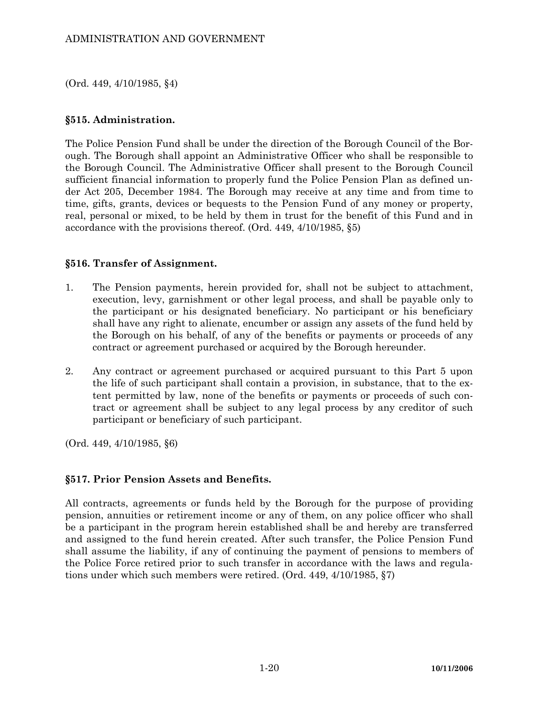(Ord. 449, 4/10/1985, §4)

#### **§515. Administration.**

The Police Pension Fund shall be under the direction of the Borough Council of the Borough. The Borough shall appoint an Administrative Officer who shall be responsible to the Borough Council. The Administrative Officer shall present to the Borough Council sufficient financial information to properly fund the Police Pension Plan as defined under Act 205, December 1984. The Borough may receive at any time and from time to time, gifts, grants, devices or bequests to the Pension Fund of any money or property, real, personal or mixed, to be held by them in trust for the benefit of this Fund and in accordance with the provisions thereof. (Ord. 449, 4/10/1985, §5)

#### **§516. Transfer of Assignment.**

- 1. The Pension payments, herein provided for, shall not be subject to attachment, execution, levy, garnishment or other legal process, and shall be payable only to the participant or his designated beneficiary. No participant or his beneficiary shall have any right to alienate, encumber or assign any assets of the fund held by the Borough on his behalf, of any of the benefits or payments or proceeds of any contract or agreement purchased or acquired by the Borough hereunder.
- 2. Any contract or agreement purchased or acquired pursuant to this Part 5 upon the life of such participant shall contain a provision, in substance, that to the extent permitted by law, none of the benefits or payments or proceeds of such contract or agreement shall be subject to any legal process by any creditor of such participant or beneficiary of such participant.

(Ord. 449, 4/10/1985, §6)

### **§517. Prior Pension Assets and Benefits.**

All contracts, agreements or funds held by the Borough for the purpose of providing pension, annuities or retirement income or any of them, on any police officer who shall be a participant in the program herein established shall be and hereby are transferred and assigned to the fund herein created. After such transfer, the Police Pension Fund shall assume the liability, if any of continuing the payment of pensions to members of the Police Force retired prior to such transfer in accordance with the laws and regulations under which such members were retired. (Ord. 449, 4/10/1985, §7)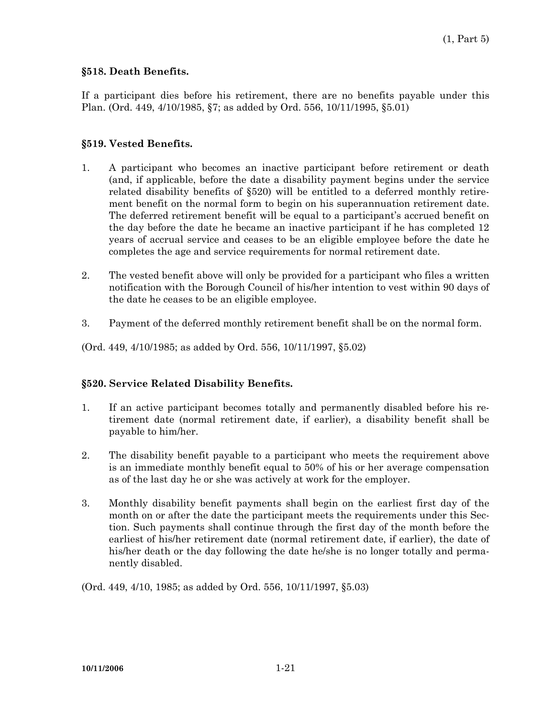#### **§518. Death Benefits.**

If a participant dies before his retirement, there are no benefits payable under this Plan. (Ord. 449, 4/10/1985, §7; as added by Ord. 556, 10/11/1995, §5.01)

#### **§519. Vested Benefits.**

- 1. A participant who becomes an inactive participant before retirement or death (and, if applicable, before the date a disability payment begins under the service related disability benefits of §520) will be entitled to a deferred monthly retirement benefit on the normal form to begin on his superannuation retirement date. The deferred retirement benefit will be equal to a participant's accrued benefit on the day before the date he became an inactive participant if he has completed 12 years of accrual service and ceases to be an eligible employee before the date he completes the age and service requirements for normal retirement date.
- 2. The vested benefit above will only be provided for a participant who files a written notification with the Borough Council of his/her intention to vest within 90 days of the date he ceases to be an eligible employee.
- 3. Payment of the deferred monthly retirement benefit shall be on the normal form.
- (Ord. 449, 4/10/1985; as added by Ord. 556, 10/11/1997, §5.02)

### **§520. Service Related Disability Benefits.**

- 1. If an active participant becomes totally and permanently disabled before his retirement date (normal retirement date, if earlier), a disability benefit shall be payable to him/her.
- 2. The disability benefit payable to a participant who meets the requirement above is an immediate monthly benefit equal to 50% of his or her average compensation as of the last day he or she was actively at work for the employer.
- 3. Monthly disability benefit payments shall begin on the earliest first day of the month on or after the date the participant meets the requirements under this Section. Such payments shall continue through the first day of the month before the earliest of his/her retirement date (normal retirement date, if earlier), the date of his/her death or the day following the date he/she is no longer totally and permanently disabled.

(Ord. 449, 4/10, 1985; as added by Ord. 556, 10/11/1997, §5.03)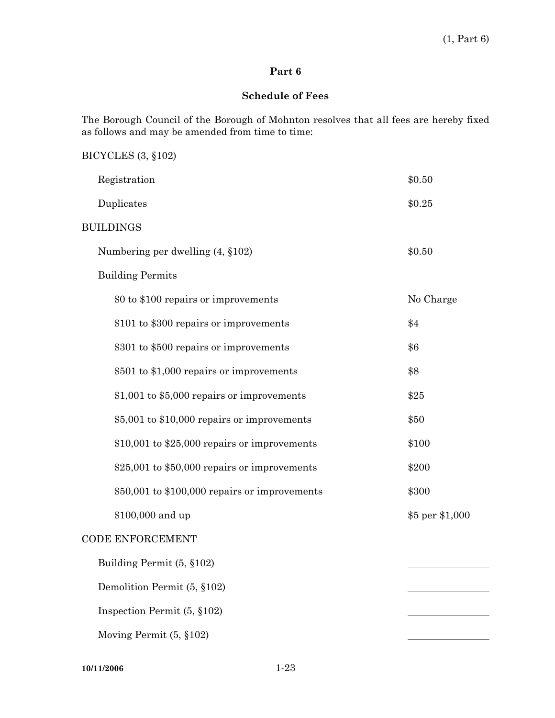## **Schedule of Fees**

The Borough Council of the Borough of Mohnton resolves that all fees are hereby fixed as follows and may be amended from time to time:

# BICYCLES (3, §102)

| Registration                                   | \$0.50          |
|------------------------------------------------|-----------------|
| Duplicates                                     | \$0.25          |
| <b>BUILDINGS</b>                               |                 |
| Numbering per dwelling $(4, §102)$             | \$0.50          |
| <b>Building Permits</b>                        |                 |
| \$0 to \$100 repairs or improvements           | No Charge       |
| \$101 to \$300 repairs or improvements         | \$4             |
| \$301 to \$500 repairs or improvements         | \$6             |
| \$501 to \$1,000 repairs or improvements       | \$8             |
| \$1,001 to \$5,000 repairs or improvements     | \$25            |
| \$5,001 to \$10,000 repairs or improvements    | \$50            |
| $$10,001$ to $$25,000$ repairs or improvements | \$100           |
| \$25,001 to \$50,000 repairs or improvements   | \$200           |
| \$50,001 to \$100,000 repairs or improvements  | \$300           |
| \$100,000 and up                               | \$5 per \$1,000 |
| <b>CODE ENFORCEMENT</b>                        |                 |
| Building Permit (5, §102)                      |                 |
| Demolition Permit (5, §102)                    |                 |
| Inspection Permit $(5, §102)$                  |                 |
| Moving Permit (5, §102)                        |                 |

**10/11/2006** 1-23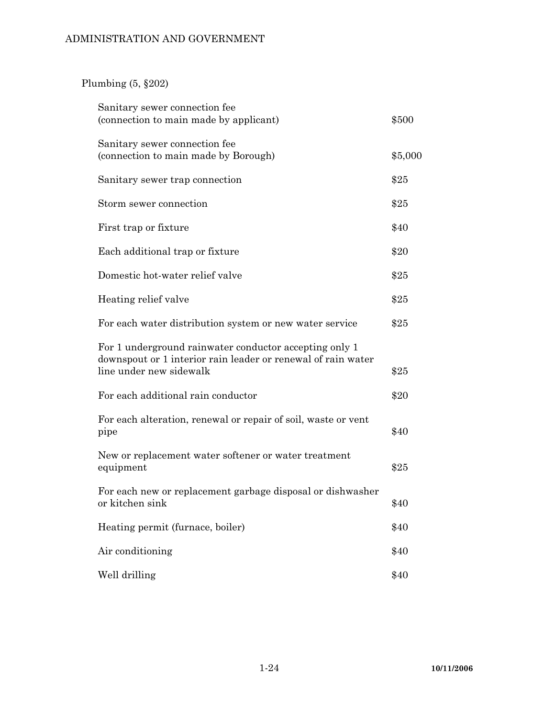# Plumbing (5, §202)

| Sanitary sewer connection fee<br>(connection to main made by applicant)                                                                           | \$500   |
|---------------------------------------------------------------------------------------------------------------------------------------------------|---------|
| Sanitary sewer connection fee<br>(connection to main made by Borough)                                                                             | \$5,000 |
| Sanitary sewer trap connection                                                                                                                    | \$25    |
| Storm sewer connection                                                                                                                            | \$25    |
| First trap or fixture                                                                                                                             | \$40    |
| Each additional trap or fixture                                                                                                                   | \$20    |
| Domestic hot-water relief valve                                                                                                                   | \$25    |
| Heating relief valve                                                                                                                              | \$25    |
| For each water distribution system or new water service                                                                                           | \$25    |
| For 1 underground rainwater conductor accepting only 1<br>downspout or 1 interior rain leader or renewal of rain water<br>line under new sidewalk | \$25    |
| For each additional rain conductor                                                                                                                | \$20    |
| For each alteration, renewal or repair of soil, waste or vent<br>pipe                                                                             | \$40    |
| New or replacement water softener or water treatment<br>equipment                                                                                 | \$25    |
| For each new or replacement garbage disposal or dishwasher<br>or kitchen sink                                                                     | \$40    |
| Heating permit (furnace, boiler)                                                                                                                  | \$40    |
| Air conditioning                                                                                                                                  | \$40    |
| Well drilling                                                                                                                                     | \$40    |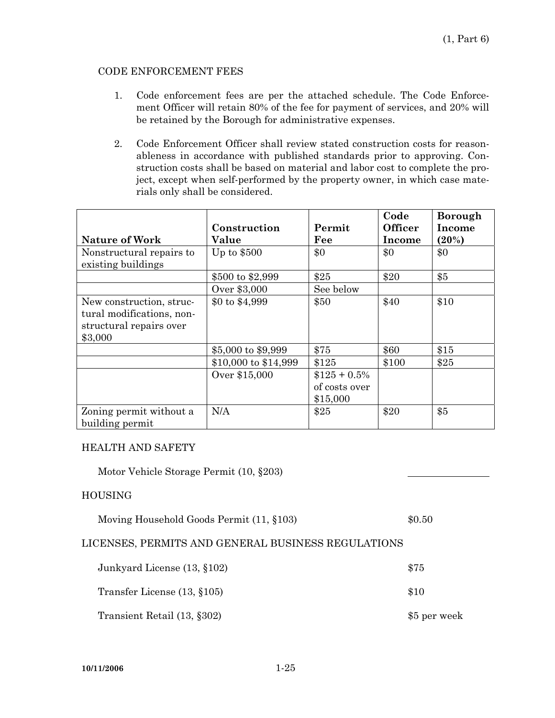#### CODE ENFORCEMENT FEES

- 1. Code enforcement fees are per the attached schedule. The Code Enforcement Officer will retain 80% of the fee for payment of services, and 20% will be retained by the Borough for administrative expenses.
- 2. Code Enforcement Officer shall review stated construction costs for reasonableness in accordance with published standards prior to approving. Construction costs shall be based on material and labor cost to complete the project, except when self-performed by the property owner, in which case materials only shall be considered.

|                                                                                             | Construction         | Permit                                      | Code<br><b>Officer</b> | <b>Borough</b><br>Income |
|---------------------------------------------------------------------------------------------|----------------------|---------------------------------------------|------------------------|--------------------------|
| <b>Nature of Work</b>                                                                       | Value                | Fee                                         | Income                 | (20%)                    |
| Nonstructural repairs to<br>existing buildings                                              | Up to $$500$         | \$0                                         | \$0                    | \$0                      |
|                                                                                             | \$500 to \$2,999     | \$25                                        | \$20                   | \$5                      |
|                                                                                             | Over \$3,000         | See below                                   |                        |                          |
| New construction, struc-<br>tural modifications, non-<br>structural repairs over<br>\$3,000 | \$0 to \$4,999       | \$50                                        | \$40                   | \$10                     |
|                                                                                             | \$5,000 to \$9,999   | \$75                                        | \$60                   | \$15                     |
|                                                                                             | \$10,000 to \$14,999 | \$125                                       | \$100                  | \$25                     |
|                                                                                             | Over \$15,000        | $$125 + 0.5\%$<br>of costs over<br>\$15,000 |                        |                          |
| Zoning permit without a<br>building permit                                                  | N/A                  | \$25                                        | \$20                   | \$5                      |

#### HEALTH AND SAFETY

Motor Vehicle Storage Permit (10, §203)

#### HOUSING

| Moving Household Goods Permit (11, §103) | \$0.50 |
|------------------------------------------|--------|
|                                          |        |

### LICENSES, PERMITS AND GENERAL BUSINESS REGULATIONS

| Junkyard License (13, §102) | \$75         |
|-----------------------------|--------------|
| Transfer License (13, §105) | \$10         |
| Transient Retail (13, §302) | \$5 per week |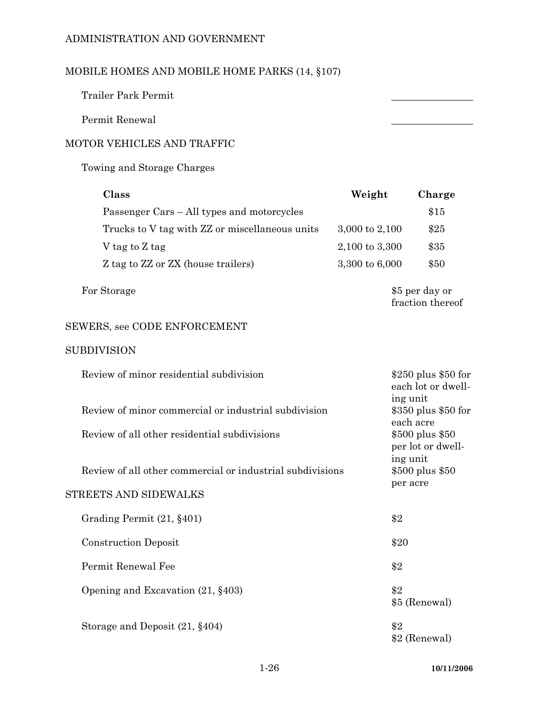# MOBILE HOMES AND MOBILE HOME PARKS (14, §107)

Trailer Park Permit

Permit Renewal

## MOTOR VEHICLES AND TRAFFIC

Towing and Storage Charges

| Class                                          | Weight             | Charge |
|------------------------------------------------|--------------------|--------|
| Passenger Cars – All types and motorcycles     |                    | \$15   |
| Trucks to V tag with ZZ or miscellaneous units | 3,000 to 2,100     | \$25   |
| V tag to Z tag                                 | $2,100$ to $3,300$ | \$35   |
| Z tag to ZZ or ZX (house trailers)             | 3,300 to 6,000     | \$50   |
|                                                |                    |        |

For Storage  $$5 \text{ per day or}$ 

fraction thereof

# SEWERS, see CODE ENFORCEMENT

#### SUBDIVISION

| Review of minor residential subdivision                   | $$250$ plus $$50$ for<br>each lot or dwell-<br>ing unit |
|-----------------------------------------------------------|---------------------------------------------------------|
| Review of minor commercial or industrial subdivision      | \$350 plus \$50 for<br>each acre                        |
| Review of all other residential subdivisions              | \$500 plus \$50<br>per lot or dwell-                    |
| Review of all other commercial or industrial subdivisions | ing unit<br>\$500 plus \$50                             |
| STREETS AND SIDEWALKS                                     | per acre                                                |
| Grading Permit (21, §401)                                 | \$2                                                     |
| <b>Construction Deposit</b>                               | \$20                                                    |
| Permit Renewal Fee                                        | \$2                                                     |
| Opening and Excavation $(21, §403)$                       | \$2<br>\$5 (Renewal)                                    |
| Storage and Deposit $(21, §404)$                          | \$2<br>\$2 (Renewal)                                    |